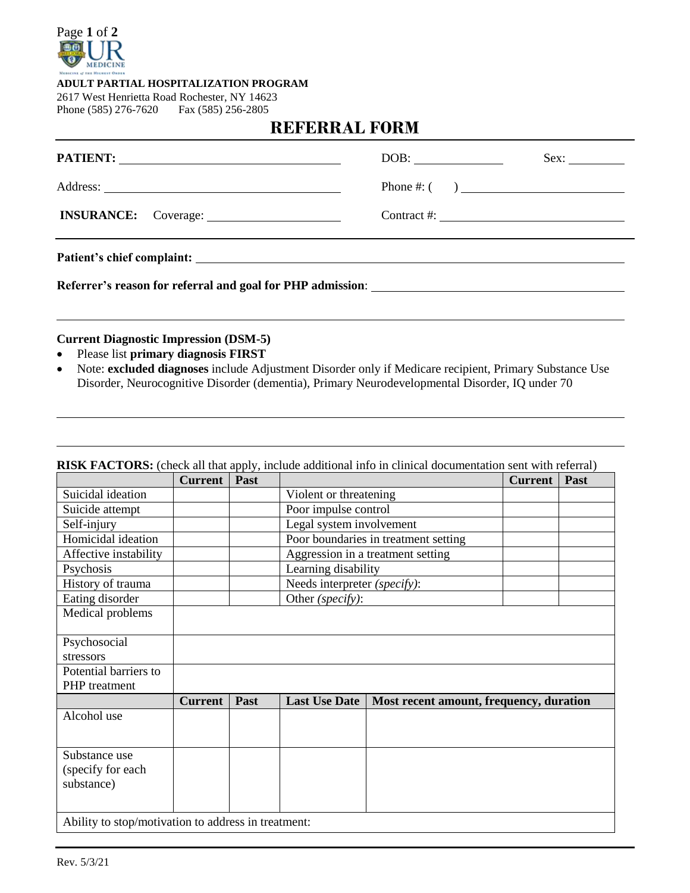

#### **ADULT PARTIAL HOSPITALIZATION PROGRAM**

2617 West Henrietta Road Rochester, NY 14623 Phone (585) 276-7620 Fax (585) 256-2805

# **REFERRAL FORM**

|                                                            | Sex:                        |
|------------------------------------------------------------|-----------------------------|
|                                                            |                             |
|                                                            | Contract #: $\qquad \qquad$ |
|                                                            |                             |
| Referrer's reason for referral and goal for PHP admission: |                             |

# **Current Diagnostic Impression (DSM-5)**

- Please list **primary diagnosis FIRST**
- Note: **excluded diagnoses** include Adjustment Disorder only if Medicare recipient, Primary Substance Use Disorder, Neurocognitive Disorder (dementia), Primary Neurodevelopmental Disorder, IQ under 70

|                                                     | <b>Current</b> | Past | <u>1101 0115, (cheen an that apply), menade additional fillo in emilieur</u> |                                         | <b>Current</b> | Past |
|-----------------------------------------------------|----------------|------|------------------------------------------------------------------------------|-----------------------------------------|----------------|------|
| Suicidal ideation                                   |                |      | Violent or threatening                                                       |                                         |                |      |
| Suicide attempt                                     |                |      | Poor impulse control                                                         |                                         |                |      |
| Self-injury                                         |                |      | Legal system involvement                                                     |                                         |                |      |
| Homicidal ideation                                  |                |      |                                                                              | Poor boundaries in treatment setting    |                |      |
| Affective instability                               |                |      |                                                                              | Aggression in a treatment setting       |                |      |
| Psychosis                                           |                |      | Learning disability                                                          |                                         |                |      |
| History of trauma                                   |                |      | Needs interpreter (specify):                                                 |                                         |                |      |
| Eating disorder                                     |                |      | Other (specify):                                                             |                                         |                |      |
| Medical problems                                    |                |      |                                                                              |                                         |                |      |
|                                                     |                |      |                                                                              |                                         |                |      |
| Psychosocial                                        |                |      |                                                                              |                                         |                |      |
| stressors                                           |                |      |                                                                              |                                         |                |      |
| Potential barriers to                               |                |      |                                                                              |                                         |                |      |
| PHP treatment                                       |                |      |                                                                              |                                         |                |      |
|                                                     | <b>Current</b> | Past | <b>Last Use Date</b>                                                         | Most recent amount, frequency, duration |                |      |
| Alcohol use                                         |                |      |                                                                              |                                         |                |      |
|                                                     |                |      |                                                                              |                                         |                |      |
|                                                     |                |      |                                                                              |                                         |                |      |
| Substance use                                       |                |      |                                                                              |                                         |                |      |
| (specify for each                                   |                |      |                                                                              |                                         |                |      |
| substance)                                          |                |      |                                                                              |                                         |                |      |
|                                                     |                |      |                                                                              |                                         |                |      |
| Ability to stop/motivation to address in treatment: |                |      |                                                                              |                                         |                |      |

#### **RISK FACTORS:** (check all that apply, include additional info in clinical documentation sent with referral)